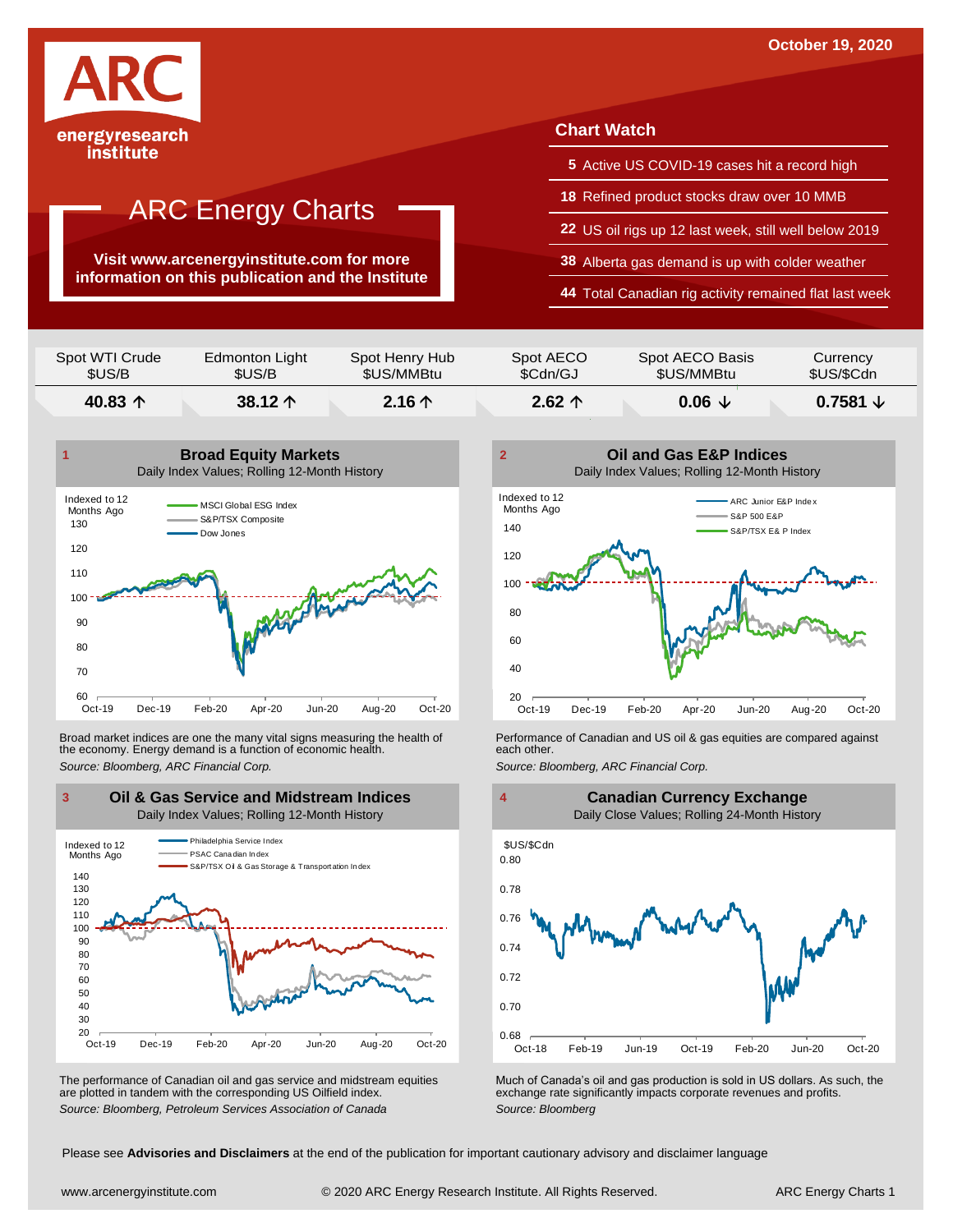

**Visit www.arcenergyinstitute.com for more information on this publication and the Institute**

### **Chart Watch**

- **5** Active US COVID-19 cases hit a record high
- **18** Refined product stocks draw over 10 MMB
- **22** US oil rigs up 12 last week, still well below 2019
- **38** Alberta gas demand is up with colder weather
- **44** Total Canadian rig activity remained flat last week

| Spot WTI Crude   | Edmonton Light   | Spot Henry Hub | Spot AECO       | Spot AECO Basis | Currency   |
|------------------|------------------|----------------|-----------------|-----------------|------------|
| \$US/B           | \$US/B           | \$US/MMBtu     | \$Cdn/GJ        | \$US/MMBtu      | \$US/\$Cdn |
| 40.83 $\uparrow$ | 38.12 $\uparrow$ | $2.16+$        | $2.62 \uparrow$ | $0.06 \tcup$    |            |



Broad market indices are one the many vital signs measuring the health of **Performance of Canadian and US oil &** gas equities are compared against the economy. Energy demand is a function of economic health. **The exact oth** the economy. Energy demand is a function of economic health.



The performance of Canadian oil and gas service and midstream equities are plotted in tandem with the corresponding US Oilfield index.





The performance of Canadian oil and gas service and midstream equities Much of Canada's oil and gas production is sold in US dollars. As such, the are plotted in tandem with the corresponding US Oilfield index.<br>
Source: Bl

Please see **Advisories and Disclaimers** at the end of the publication for important cautionary advisory and disclaimer language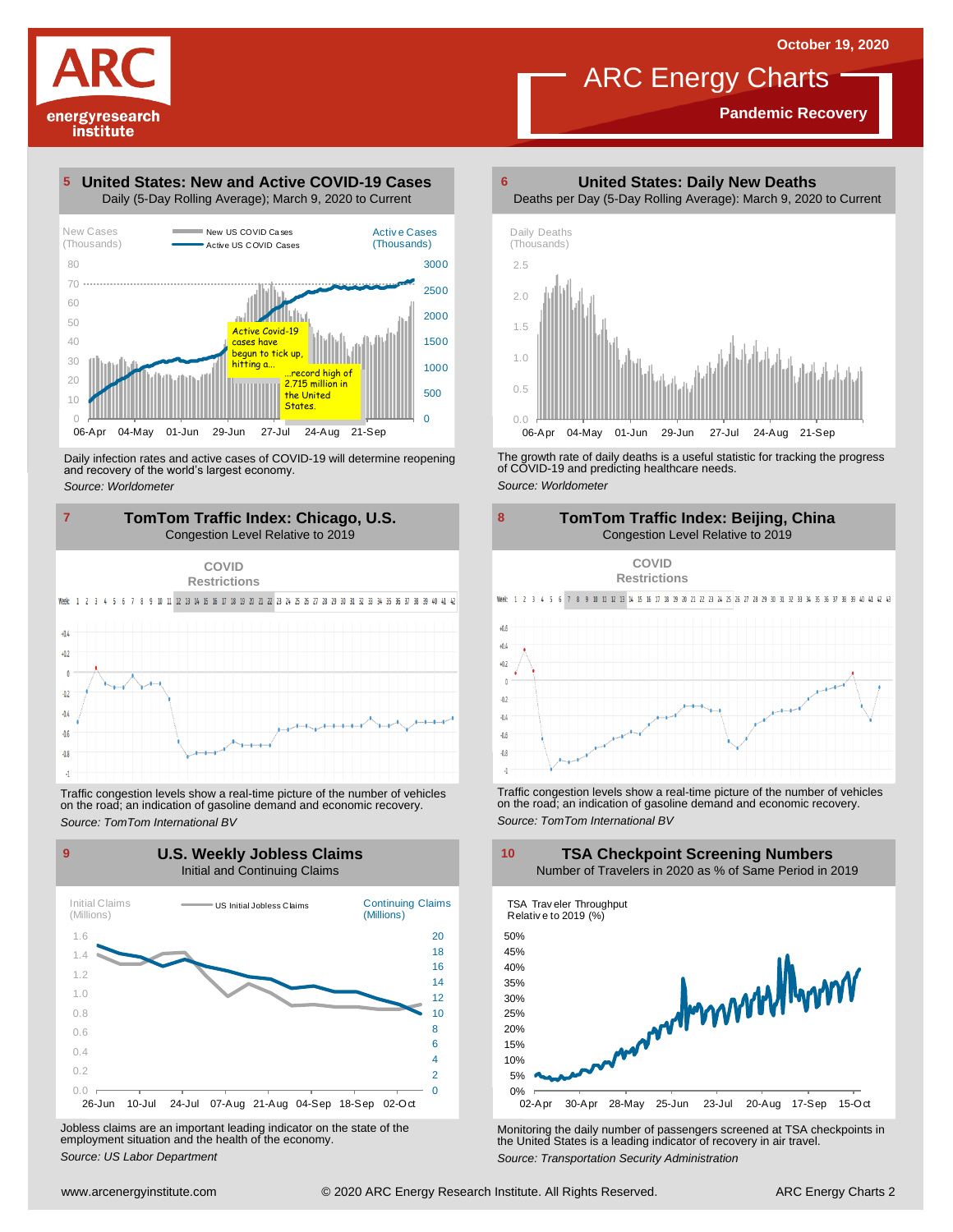**Pandemic Recovery**



### **United States: New and Active COVID-19 Cases 5**



Daily infection rates and active cases of COVID-19 will determine reopening and recovery of the world's largest economy. *Source: Worldometer*



Traffic congestion levels show <sup>a</sup> real-time picture of the number of vehicles on the road; an indication of gasoline demand and economic recovery. *Source: TomTom International BV*



Jobless claims are an important leading indicator on the state of the employment situation and the health of the economy. *Source: US Labor Department*

**United States: Daily New Deaths 6**



The growth rate of daily deaths is <sup>a</sup> useful statistic for tracking the progress of COVID-19 and predicting healthcare needs. *Source: Worldometer*



Traffic congestion levels show <sup>a</sup> real-time picture of the number of vehicles on the road; an indication of gasoline demand and economic recovery. *Source: TomTom International BV*

**TSA Checkpoint Screening Numbers**



Monitoring the daily number of passengers screened at TSA checkpoints in the United States is <sup>a</sup> leading indicator of recovery in air travel. *Source: Transportation Security Administration*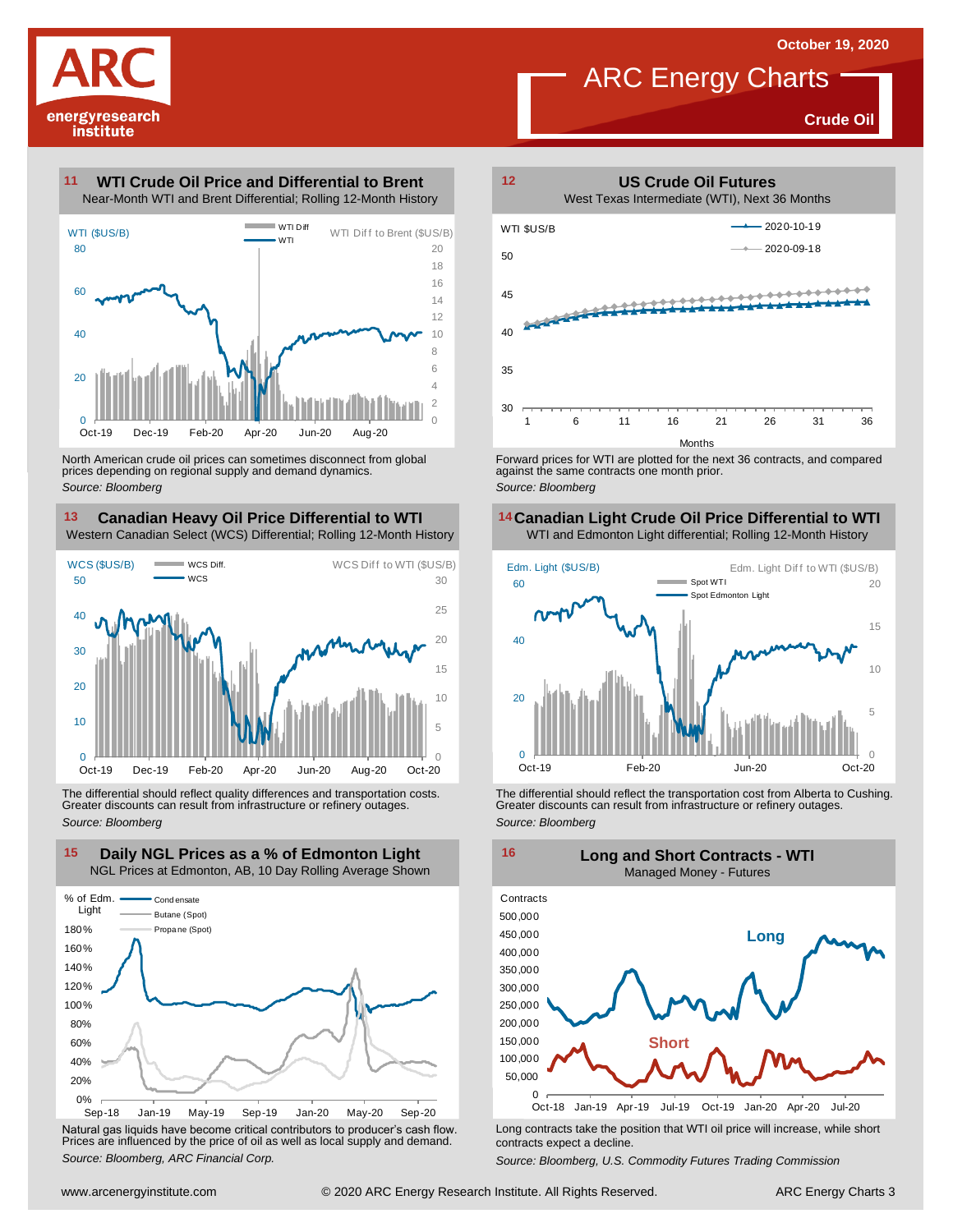**Crude Oil**

# energyresearch institute

### **WTI Crude Oil Price and Differential to Brent 11**



North American crude oil prices can sometimes disconnect from global prices depending on regional supply and demand dynamics. *Source: Bloomberg*

### **Canadian Heavy Oil Price Differential to WTI 13 14**

Western Canadian Select (WCS) Differential; Rolling 12-Month History



The differential should reflect quality differences and transportation costs. Greater discounts can result from infrastructure or refinery outages. *Source: Bloomberg*



Natural gas liquids have become critical contributors to producer's cash flow. Long contracts take the position that WTI oil price will increase, while short<br>Prices are influenced by the price of oil as well as local suppl



ARC Energy Charts

Forward prices for WTI are plotted for the next 36 contracts, and compared against the same contracts one month prior. *Source: Bloomberg*

## **Canadian Light Crude Oil Price Differential to WTI**



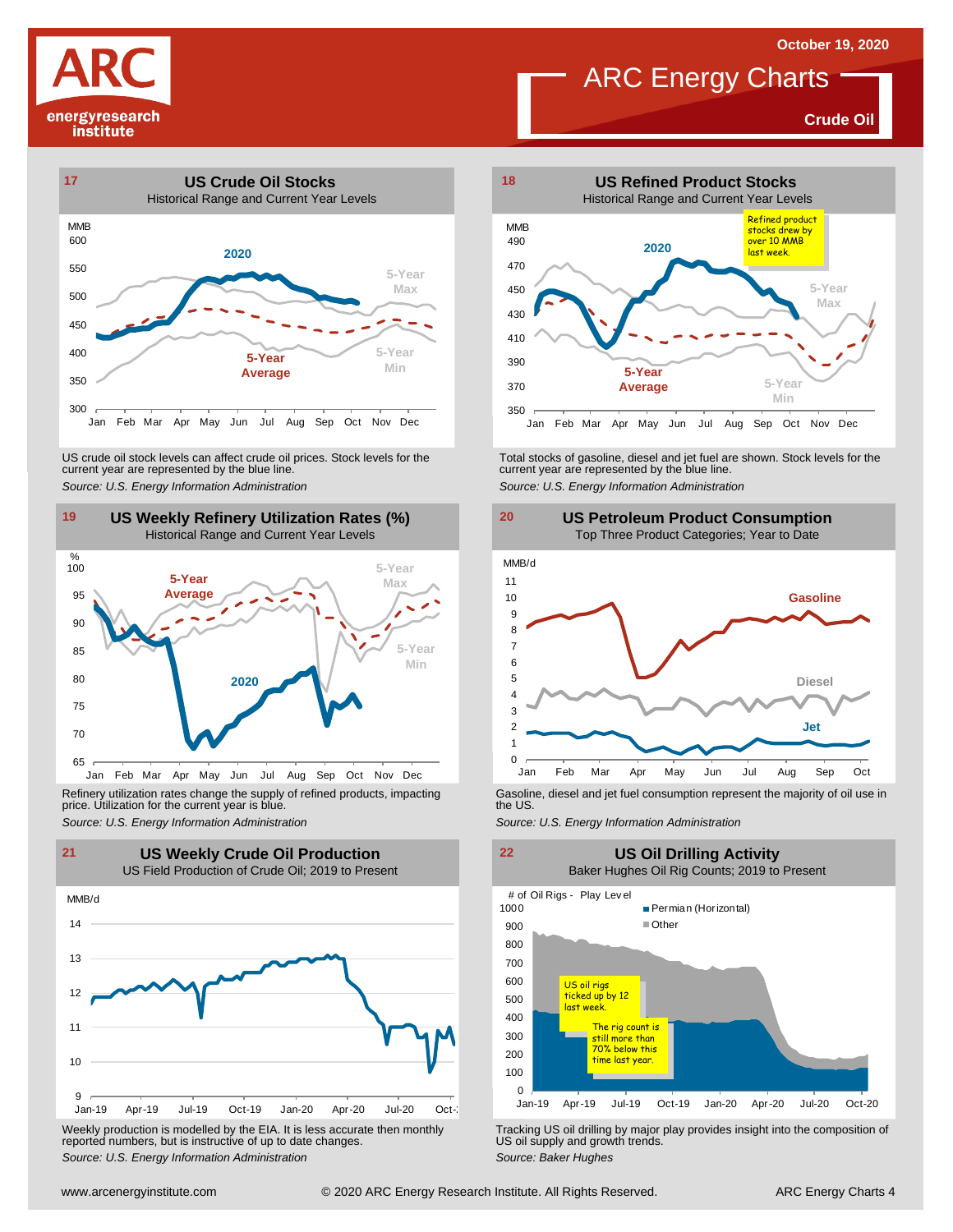**Crude Oil**







Refinery utilization rates change the supply of refined products, impacting price. Utilization for the current year is blue. Refinery utilization rates change the supply of refined products, impacting<br>
price. Utilization for the current year is blue.<br>
Source: U.S. Energy Information Administration<br>
Source: U.S. Energy Information Administration



Weekly production is modelled by the EIA. It is less accurate then monthly reported numbers, but is instructive of up to date changes. *Source: Weekly production* is modelled by the EIA. It is less accurate then monthly **Tracking US oil drilling by major play provides insight into the composition of reported numbers, but is instructive of up to date cha** 



ARC Energy Charts

US crude oil stock levels can affect crude oil prices. Stock levels for the<br>
current year are represented by the blue line.<br>
Source: U.S. Energy Information Administration<br>
19 US Weekly Refinery Utilization Rates (%)<br>
Hist





22 **US**<br>Baker Hugh<br># of Oil Rigs - Play Level **21 22 US Weekly Crude Oil Production US Oil Drilling Activity** Baker Hughes Oil Rig Counts; 2019 to Present



US oil supply and growth trends. *Source: Baker Hughes*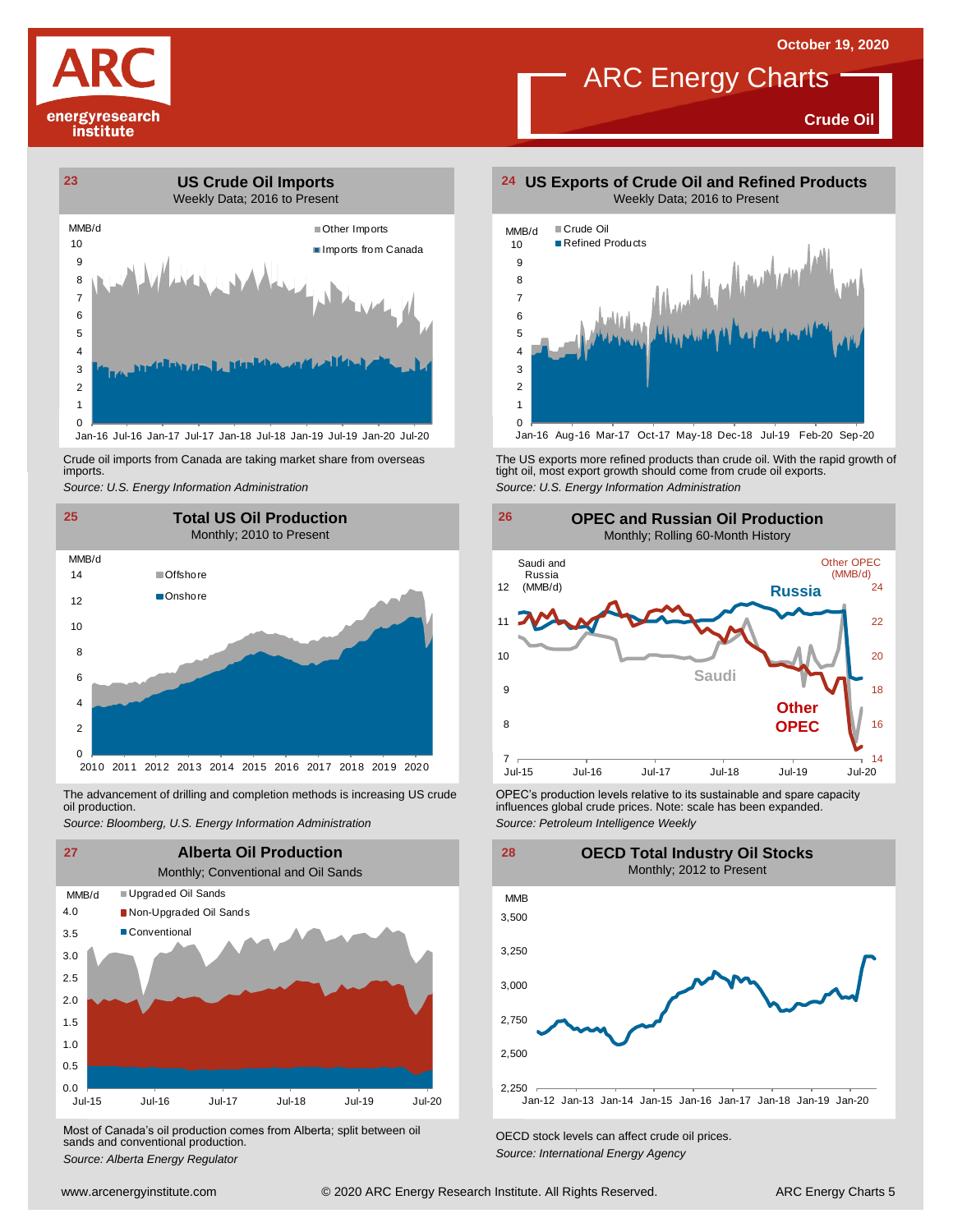

**Crude Oil**



Crude oil imports from Canada are taking market share from overseas imports.



oil production.



Most of Canada's oil production comes from Alberta; split between oil sands and conventional production. *Source: Alberta Energy Regulator Comes Irom Alberta*; *Split between on CECD stock levels can affect crude oil prices. Source: Alberta Energy Agency*<br>*Source: Alberta Energy Regulator Capacitor Energy Ag* 



Crude oil imports from Canada are taking market share from overseas The US exports more refined products than crude oil. With the rapid growth of tight oil, most exports more refined products than crude oil exports.<br>import *Source: U.S. Energy Information Administration*



The advancement of drilling and completion methods is increasing US crude CPEC's production levels relative to its sustainable and spare capacity<br>oil production. influences global crude prices. Note: scale has been expande influences global crude prices. Note: scale has been expanded. *Source: Petroleum Intelligence Weekly*

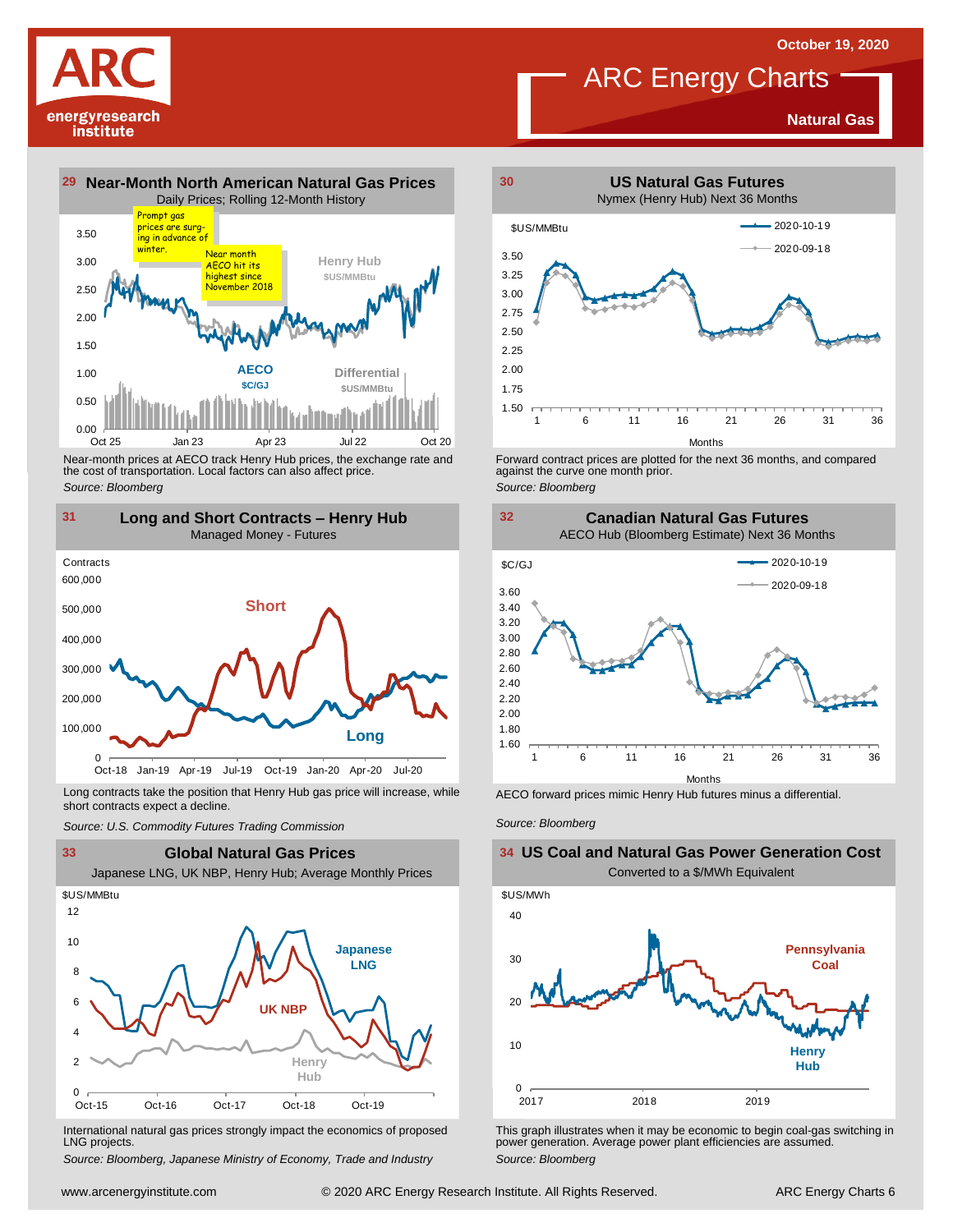**Natural Gas**

# energyresearch institute



Near-month prices at AECO track Henry Hub prices, the exchange rate and<br>the cost of transportation. Local factors can also affect price.<br>Source: Bloomberg<br>**131 Long and Short Contracts – Henry Hub**<br>Managed Money - Futures *Source: Bloomberg*



Long contracts take the position that Henry Hub gas price will increase, while short contracts expect a decline. *Source: U.S. Commodity Futures Trading Commission* AECO forward prices mimic Henry Hub futures minus <sup>a</sup> differential. *Source: Bloomberg*



International natural gas prices strongly impact the economics of proposed LNG projects.

*Source: Bloomberg, Japanese Ministry of Economy, Trade and Industry*



ARC Energy Charts

Forward contract prices are plotted for the next <sup>36</sup> months, and compared against the curve one month prior. *Source: Bloomberg*



### 10 20 30 40 \$US/MWh **US Coal and Natural Gas Power Generation Cost** Converted to a \$/MWh Equivalent **Pennsylvania Coal Henry Hub**

This graph illustrates when it may be economic to begin coal-gas switching in power generation. Average power plant efficiencies are assumed. *Source: Bloomberg*

2017 2018 2019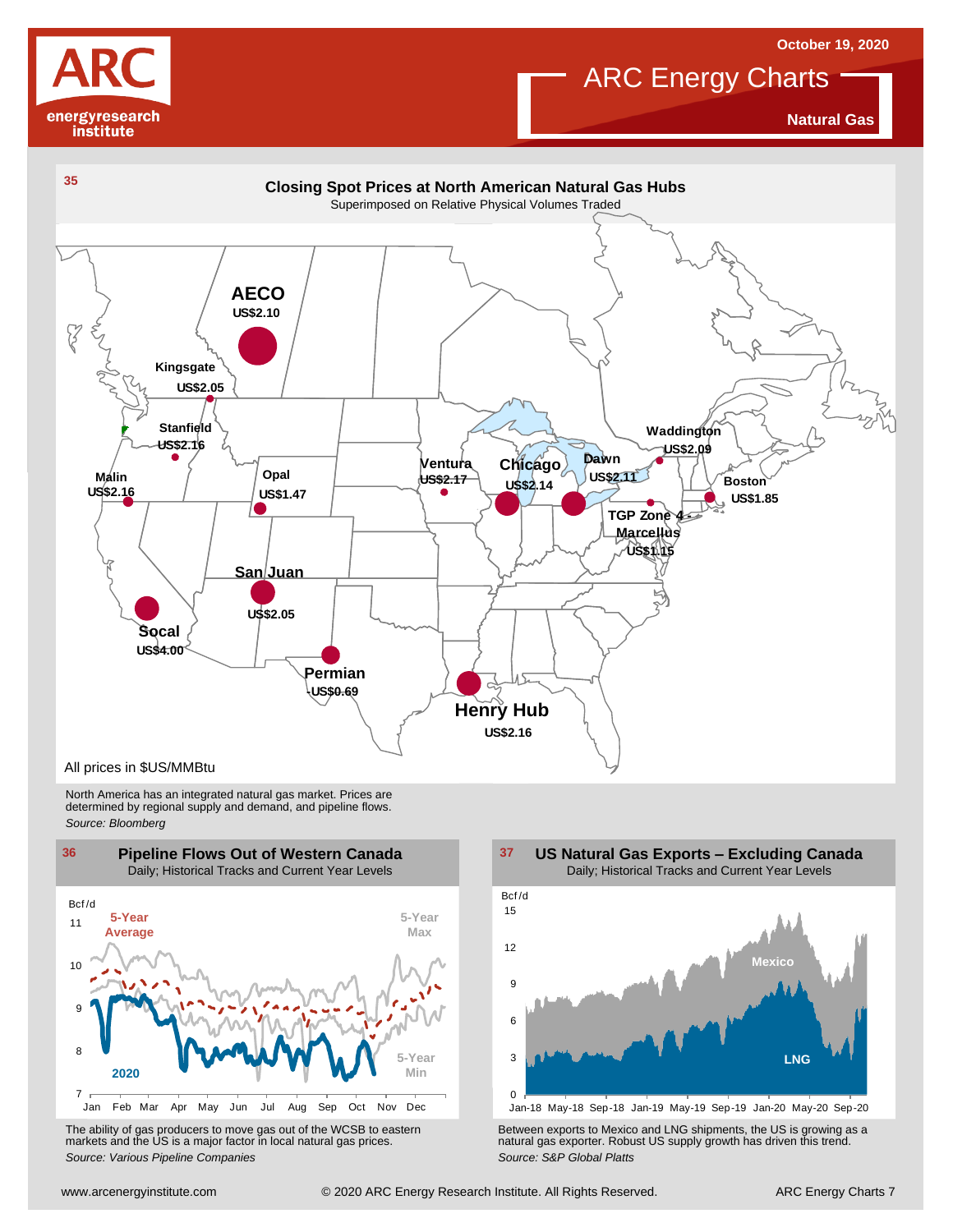



**Natural Gas**



North America has an integrated natural gas market. Prices are determined by regional supply and demand, and pipeline flows. *Source: Bloomberg*





Jan-18 May-18 Sep-18 Jan-19 May-19 Sep-19 Jan-20 May-20 Sep-20

Using the Markets and the US is a major factor in local natural gas prices.<br>
Source: Various Pipeline Companies<br>
With a street are the WCSB to eastern markets and the US is a major factor in local natural gas prices.<br>
Sour The ability of gas producers to move gas out of the WCSB to eastern<br>The Between exports to Mexico and LNG shipments, the US is growing as a<br>Source: Various Pipeline Companies and actual gas prices.<br>Source: S&P Global Platt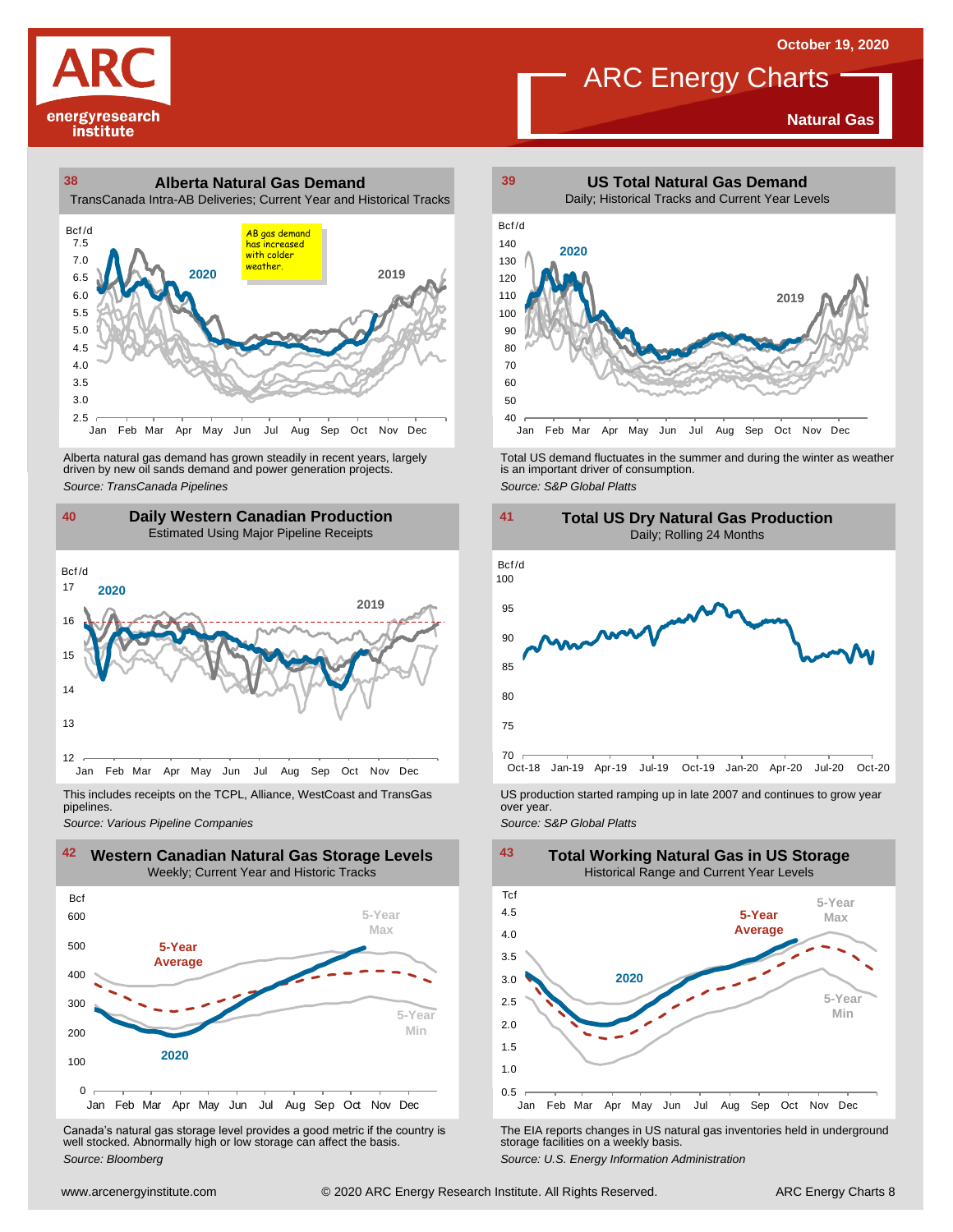**Natural Gas**



## **38 39 Alberta Natural Gas Demand** TransCanada Intra-AB Deliveries; Current Year and Historical Tracks oo<br>Tran:<br>Bcf/d<br>7.5



Alberta natural gas demand has grown steadily in recent years, largely<br>
driven by new oil sands demand and power generation projects.<br>
Source: TransCanada Pipelines<br>
Source: S&P Global Platts<br>
Daily Western Canadian Produc Alberta natural gas demand has grown steadily in recent years, largely **Total US** demand fluctuates in the summer and during the winter as weather driven by new oil sands demand and power generation projects.<br>And is an imp



pipelines.



Canada's natural gas storage level provides <sup>a</sup> good metric if the country is well stocked. Abnormally high or low storage can affect the basis. *Source: Bloomberg*



ARC Energy Charts



*Source: Pipelines Pipelines Pipelines Pipelines DSproduction started ramping up in late 2007 and continues to grow year pipelines. Source: Various Pipeline Companies Source: Various Pipeline Companies SA* 



The EIA reports changes in US natural gas inventories held in underground storage facilities on <sup>a</sup> weekly basis.

*Source: U.S. Energy Information Administration*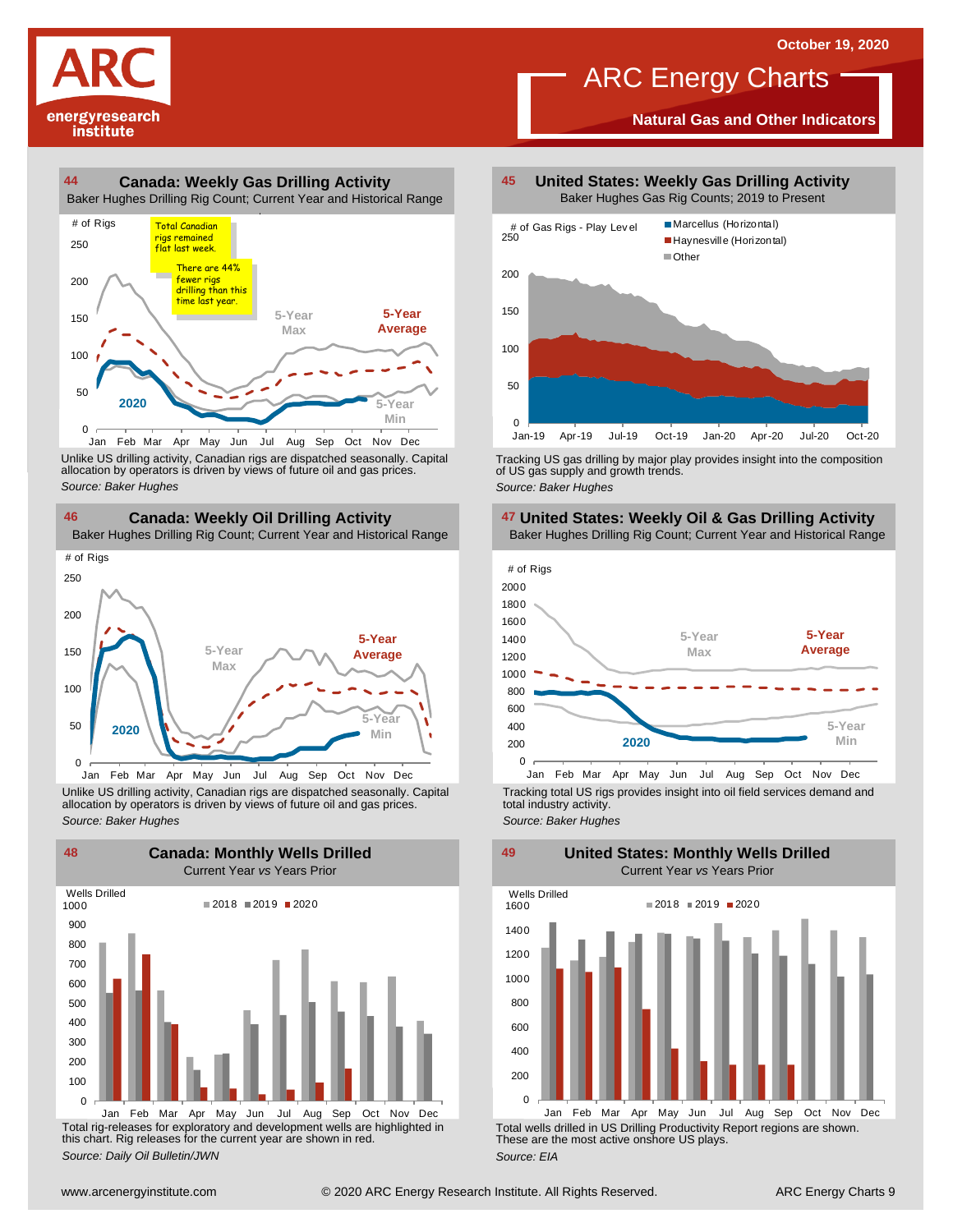# energyresearch institute

### **44 45 Canada: Weekly Gas Drilling Activity** Baker Hughes Drilling Rig Count; Current Year and Historical Range 50 100 150 200 250 4<br>Baker Hu<br># of Rigs **5-Year Max 5-Year Average 5-Year Min** Total Canadian <mark>rigs remained</mark> flat last week. **2020** There are 44% fewer rigs drilling than this time last year.

Unlike US drilling activity, Canadian rigs are dispatched seasonally. Capital allocation by operators is driven by views of future oil and gas prices. 0<br>
Jan Feb Mar Apr May<br>
Unlike US drilling activity, Cana<br>
allocation by operators is driver<br>
Source: Baker Hughes Jun Jul Aug Sep Oct Nov Dec



Unlike US drilling activity, Canadian rigs are dispatched seasonally. Capital Tracking total US rigs provides insight into oil field services demand and<br>allocation by operators is driven by views of future oil and gas pric



Total rig-releases for exploratory and development wells are highlighted in this chart. Rig releases for the current year are shown in red. *Source: Daily Oil Bulletin/JWN*

**United States: Weekly Gas Drilling Activity** Baker Hughes Gas Rig Counts; 2019 to Present

ARC Energy Charts

**Natural Gas and Other Indicators**



Tracking US gas drilling by major play provides insight into the composition of US gas supply and growth trends. *Source: Baker Hughes*

### **United States: Weekly Oil & Gas Drilling Activity**



total industry activity. *Source: Baker Hughes*

**United States: Monthly Wells Drilled**



Total wells drilled in US Drilling Productivity Report regions are shown. These are the most active onshore US plays. *Source: EIA*